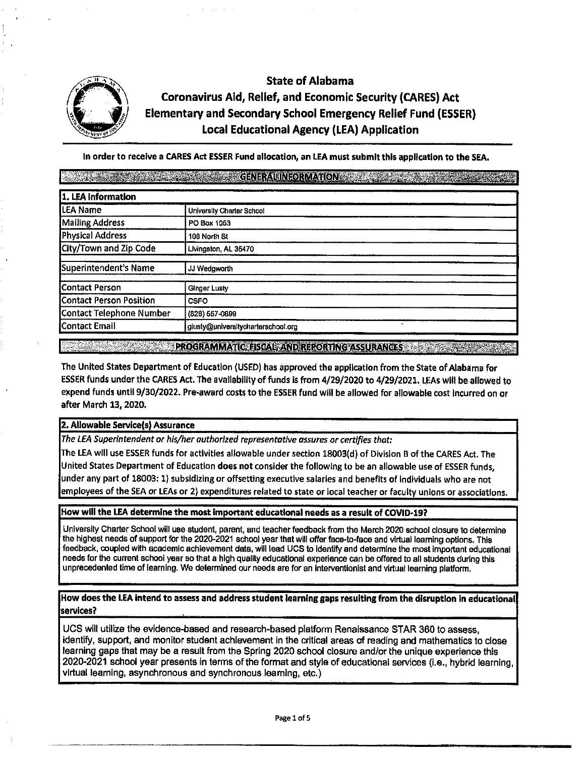

# State of Alabama Coronavirus Aid, Relief, and Economic Security (CARES) Act Elementary and Secondary School Emergency Relief Fund **(ESSER)**  Local Educational Agency (LEA) Application

In order to receive a CARES Act ESSER Fund allocation, an LEA must submit this application to the SEA.

| 1. LEA Information             |                                                                |  |  |  |
|--------------------------------|----------------------------------------------------------------|--|--|--|
| <b>LEA Name</b>                | University Charter School                                      |  |  |  |
| <b>Mailing Address</b>         | PO Box 1053                                                    |  |  |  |
| Physical Address               | 108 North St                                                   |  |  |  |
| City/Town and Zip Code         | Livingston, AL 35470                                           |  |  |  |
| Superintendent's Name          | JJ Wedgworth                                                   |  |  |  |
| Contact Person                 | <b>Ginger Lusty</b>                                            |  |  |  |
| <b>Contact Person Position</b> | <b>CSFO</b>                                                    |  |  |  |
| Contact Telephone Number       | (828) 557-0899                                                 |  |  |  |
| Contact Email                  | $\overline{\phantom{a}}$<br>glusty@universitycharterschool.org |  |  |  |

**A 2008 - PROGRAMMATION ISOAL AND RECONTING ASSURANCES** 

The United States Department of Education (USED) has approved the application from the State of.Alabama for ESSER funds under the CARES Act, The availability of funds Is from 4/29/2020 to 4/29/2021, LEAs will be allowed to expend funds untll 9/30/2022. Pre-award costs to the ESSER fund will be allowed for allowable cost Incurred on or after March 13, 2020.

## **2, Allowable Servlcels) Assurance.**

*The LEA Superintendent or his/her authorized representative assures or certifies that:* 

The LEA will use ESSER funds for activities allowable under section 18003(d) of Division B of the CARES Act. The United States Department of Education **does not** consider the following to be an allowable use of ESSER funds, under any part of 18003: 1) subsidizing or offsetting executive salaries and benefits of individuals who are not employees of the SEA or LEAs or 2) expenditures related to state or local teacher or faculty unions or associations.

#### **How will the LEA determine the most important educational needs as a result of COVID-19?**

University Charter School will use student, parent, and teacher feedback from the March 2020 school closure to determine the highest needs of support for the 2020-2021 school year that will offer face-to-face and virtual learning options. This feedback, coupled with academic achievement data, will lead UCS to Identify and determine the most Important educational needs for the current school year so that a high quality educational experience can be offered to all students during this unprecedented time of learning. We determined our needs are for an interventionist and virtual learning platform.

#### **How does the LEA intend to assess and address student learning gaps resulting from the disruption in educational services?**

UCS wlll utilize the evidence-based and research-based platform Renaissance STAR 360 to assess, identify, support, and monitor student achievement in the critical areas of reading and mathematics to close learning gaps that may be a result from the Spring 2020 school closure and/or the unique experience this 2020-2021 school year presents in terms of the format and style of educational services (i.e., hybrid learning, virtual learning, asynchronous and synchronous learning, etc.)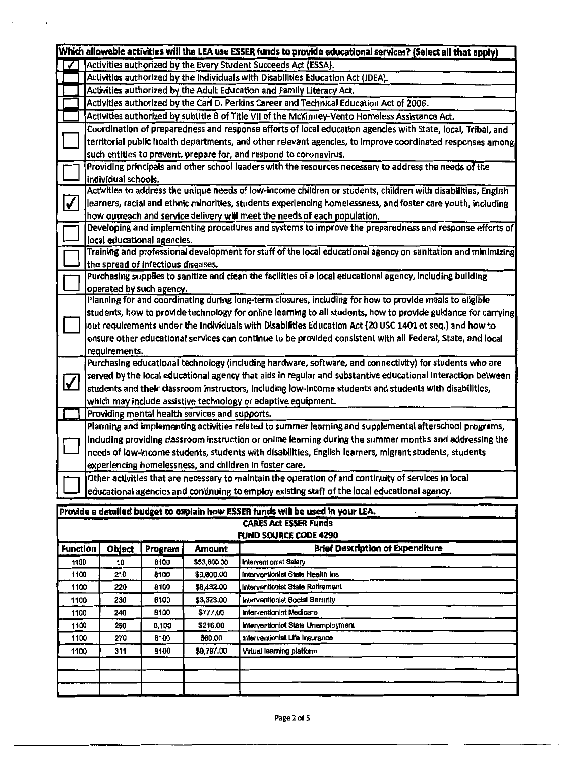|                                                                                                                   |                                                                                                                                                  |                                                                                                             |                          |                           | Which allowable activities will the LEA use ESSER funds to provide educational services? (Select all that apply) |  |  |  |
|-------------------------------------------------------------------------------------------------------------------|--------------------------------------------------------------------------------------------------------------------------------------------------|-------------------------------------------------------------------------------------------------------------|--------------------------|---------------------------|------------------------------------------------------------------------------------------------------------------|--|--|--|
| Activities authorized by the Every Student Succeeds Act (ESSA).                                                   |                                                                                                                                                  |                                                                                                             |                          |                           |                                                                                                                  |  |  |  |
|                                                                                                                   |                                                                                                                                                  |                                                                                                             |                          |                           | Activities authorized by the Individuals with Disabilities Education Act (IDEA).                                 |  |  |  |
|                                                                                                                   |                                                                                                                                                  |                                                                                                             |                          |                           | Activities authorized by the Adult Education and Family Literacy Act.                                            |  |  |  |
|                                                                                                                   | Activities authorized by the Carl D. Perkins Career and Technical Education Act of 2006.                                                         |                                                                                                             |                          |                           |                                                                                                                  |  |  |  |
|                                                                                                                   | Activities authorized by subtitle B of Title VII of the McKinney-Vento Homeless Assistance Act.                                                  |                                                                                                             |                          |                           |                                                                                                                  |  |  |  |
|                                                                                                                   | Coordination of preparedness and response efforts of local education agencies with State, local, Tribal, and                                     |                                                                                                             |                          |                           |                                                                                                                  |  |  |  |
|                                                                                                                   | territorial public health departments, and other relevant agencies, to improve coordinated responses among                                       |                                                                                                             |                          |                           |                                                                                                                  |  |  |  |
|                                                                                                                   | such entities to prevent, prepare for, and respond to coronavirus.                                                                               |                                                                                                             |                          |                           |                                                                                                                  |  |  |  |
|                                                                                                                   | Providing principals and other school leaders with the resources necessary to address the needs of the                                           |                                                                                                             |                          |                           |                                                                                                                  |  |  |  |
|                                                                                                                   | individual schools.                                                                                                                              |                                                                                                             |                          |                           |                                                                                                                  |  |  |  |
|                                                                                                                   | Activities to address the unique needs of low-income children or students, children with disabilities, English                                   |                                                                                                             |                          |                           |                                                                                                                  |  |  |  |
| V<br>learners, racial and ethnic minorities, students experiencing homelessness, and foster care youth, including |                                                                                                                                                  |                                                                                                             |                          |                           |                                                                                                                  |  |  |  |
| how outreach and service delivery will meet the needs of each population.                                         |                                                                                                                                                  |                                                                                                             |                          |                           |                                                                                                                  |  |  |  |
|                                                                                                                   | Developing and implementing procedures and systems to improve the preparedness and response efforts of                                           |                                                                                                             |                          |                           |                                                                                                                  |  |  |  |
|                                                                                                                   | local educational agencies.                                                                                                                      |                                                                                                             |                          |                           |                                                                                                                  |  |  |  |
|                                                                                                                   | Training and professional development for staff of the local educational agency on sanitation and minimizing                                     |                                                                                                             |                          |                           |                                                                                                                  |  |  |  |
|                                                                                                                   | the spread of infectious diseases.<br>Purchasing supplies to sanitize and clean the facilities of a local educational agency, including building |                                                                                                             |                          |                           |                                                                                                                  |  |  |  |
|                                                                                                                   |                                                                                                                                                  |                                                                                                             | operated by such agency. |                           |                                                                                                                  |  |  |  |
|                                                                                                                   |                                                                                                                                                  |                                                                                                             |                          |                           | Planning for and coordinating during long-term closures, including for how to provide meals to eligible          |  |  |  |
|                                                                                                                   |                                                                                                                                                  |                                                                                                             |                          |                           | students, how to provide technology for online learning to all students, how to provide guidance for carrying    |  |  |  |
|                                                                                                                   |                                                                                                                                                  |                                                                                                             |                          |                           | out requirements under the Individuals with Disabilities Education Act (20 USC 1401 et seq.) and how to          |  |  |  |
|                                                                                                                   |                                                                                                                                                  |                                                                                                             |                          |                           | ensure other educational services can continue to be provided consistent with all Federal, State, and local      |  |  |  |
|                                                                                                                   |                                                                                                                                                  | requirements.                                                                                               |                          |                           |                                                                                                                  |  |  |  |
|                                                                                                                   |                                                                                                                                                  |                                                                                                             |                          |                           | Purchasing educational technology (including hardware, software, and connectivity) for students who are          |  |  |  |
|                                                                                                                   |                                                                                                                                                  | served by the local educational agency that aids in regular and substantive educational interaction between |                          |                           |                                                                                                                  |  |  |  |
| $\blacktriangledown$                                                                                              |                                                                                                                                                  | students and their classroom instructors, including low-income students and students with disabilities,     |                          |                           |                                                                                                                  |  |  |  |
|                                                                                                                   |                                                                                                                                                  |                                                                                                             |                          |                           | which may include assistive technology or adaptive equipment.                                                    |  |  |  |
|                                                                                                                   | Providing mental health services and supports.                                                                                                   |                                                                                                             |                          |                           |                                                                                                                  |  |  |  |
|                                                                                                                   |                                                                                                                                                  |                                                                                                             |                          |                           | Planning and implementing activities related to summer learning and supplemental afterschool programs,           |  |  |  |
| including providing classroom instruction or online learning during the summer months and addressing the          |                                                                                                                                                  |                                                                                                             |                          |                           |                                                                                                                  |  |  |  |
| needs of low-income students, students with disabilities, English learners, migrant students, students            |                                                                                                                                                  |                                                                                                             |                          |                           |                                                                                                                  |  |  |  |
|                                                                                                                   | experiencing homelessness, and children in foster care.                                                                                          |                                                                                                             |                          |                           |                                                                                                                  |  |  |  |
|                                                                                                                   | Other activities that are necessary to maintain the operation of and continuity of services in local                                             |                                                                                                             |                          |                           |                                                                                                                  |  |  |  |
|                                                                                                                   | educational agencies and continuing to employ existing staff of the local educational agency.                                                    |                                                                                                             |                          |                           |                                                                                                                  |  |  |  |
|                                                                                                                   |                                                                                                                                                  |                                                                                                             |                          |                           |                                                                                                                  |  |  |  |
|                                                                                                                   |                                                                                                                                                  |                                                                                                             |                          |                           | Provide a detailed budget to explain how ESSER funds will be used in your LEA.                                   |  |  |  |
|                                                                                                                   |                                                                                                                                                  |                                                                                                             |                          |                           | <b>CARES Act ESSER Funds</b><br><b>FUND SOURCE CODE 4290</b>                                                     |  |  |  |
| <b>Function</b>                                                                                                   |                                                                                                                                                  |                                                                                                             |                          |                           | <b>Brief Description of Expenditure</b>                                                                          |  |  |  |
|                                                                                                                   |                                                                                                                                                  | <b>Object</b>                                                                                               | Program                  | <b>Amount</b>             | <b>Interventionist Salary</b>                                                                                    |  |  |  |
| 1100<br>1100                                                                                                      |                                                                                                                                                  | 10                                                                                                          | 6100                     | \$53,600.00<br>\$9,600.00 | Interventionist State Health Ins                                                                                 |  |  |  |
| 1100                                                                                                              |                                                                                                                                                  | 210<br>220                                                                                                  | 8100<br>8100             | \$6,432.00                | Interventionist State Retirement                                                                                 |  |  |  |
| 1100                                                                                                              |                                                                                                                                                  | 230                                                                                                         | 8100                     | \$3,323.00                | Interventionist Social Security                                                                                  |  |  |  |
| 1100                                                                                                              |                                                                                                                                                  | 240                                                                                                         | 8100                     | \$777.00                  | Interventionist Medicare                                                                                         |  |  |  |
| 1100                                                                                                              |                                                                                                                                                  | 250                                                                                                         | 8,100                    | \$216.00                  | Interventionist State Unemployment                                                                               |  |  |  |
| 1100                                                                                                              |                                                                                                                                                  | 270                                                                                                         | 8100                     | \$60.00                   | Interventionist Life Insurance                                                                                   |  |  |  |
| 1100                                                                                                              |                                                                                                                                                  | 311                                                                                                         | 8100                     | \$9,797.00                | Virtual learning platform                                                                                        |  |  |  |
|                                                                                                                   |                                                                                                                                                  |                                                                                                             |                          |                           |                                                                                                                  |  |  |  |
|                                                                                                                   |                                                                                                                                                  |                                                                                                             |                          |                           |                                                                                                                  |  |  |  |
|                                                                                                                   |                                                                                                                                                  |                                                                                                             |                          |                           |                                                                                                                  |  |  |  |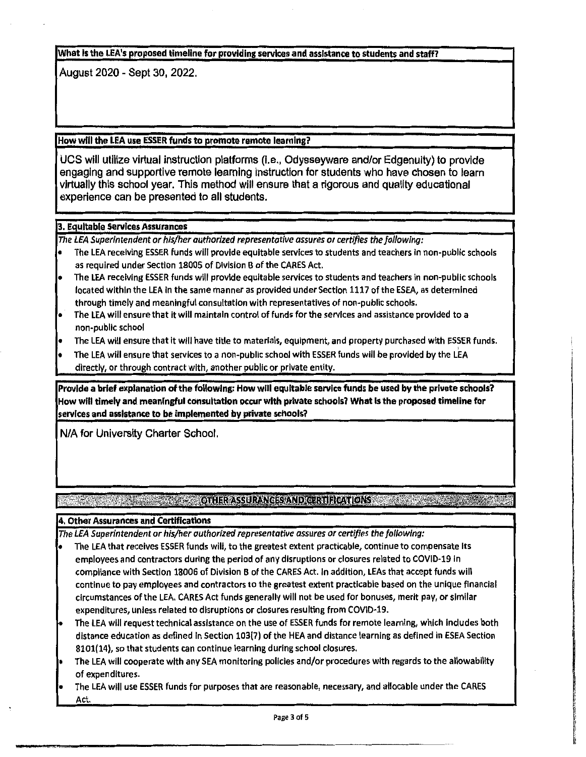#### **What is the LEA's proposed tlmellne for providing services and assistance to students and staff?**

August 2020 - Sept 30, 2022.

## **How will the LEA use ESSER funds to promote remote learning?**

UCS will utilize virtual instruction platforms (i.e., Odysseyware and/or Edgenuity) to provide engaging and supportive remote learning instruction for students who have chosen to learn virtually this school year. This method will ensure that a rigorous and quality educational experience can be presented to all students.

## **3. Equitable Services Assurances**

*The LEA Superintendent or his/her autharlzed representative assures or certifies the fol/owing:* 

- The LEA receiving ESSER funds will provide equitable services to students and teachers in non-public schools as required under Section 18005 of Division B of the CARES Act,
- The LEA receiving ESSER funds will provide equitable services to students and teachers in non-public schools located within the LEA In the same manner as provided under Section 1117 of the ESEA, as determined through timely and meaningful consultation with representatives of non-public schools.
- The LEA will ensure that it will maintain control of funds for the services and assistance provided to a non-public school
- The LEA will ensure that it will have title to materials, equipment, and property purchased with ESSER funds.
- ' The LEA will ensure that services to a non-public school with ESSER funds will be provided by the LEA directly, or through contract with, another public or private entity.

Provide a brief explanation of the following: How will equitable service funds be used by the privete schools? **How will timely and meaningful consultation occur with private schools? What Is the proposed tlmeline for services and assistance to be implemented by private schools?** 

N/A for University Charter School.

## **EXAMPLE AND A REPORT OF A REPORT OF A REPORT OF A REPORT OF A REPORT OF A REPORT OF A REPORT OF A REPORT OF A**

## 4. Other Assurances and Certifications

*The LEA Superintendent or his/her authorized representative assures or certifies the fol/owing:* 

- The LEA that receives ESSER funds will, to the greatest extent practicable, continue to compensate Its employees and contractors during the period of any disruptions or closures related to COVID-19 In compliance with Section 18006 of Division B of the CARES Act. In addition, LEAs that accept funds will continue to pay employees and contractors to the greatest extent practicable based on the unique financial circumstances of the LEA. CARES Act funds generally will not be used for bonuses, merit pay, or similar expenditures, unless related to disruptions or closures resulting from COVID-19.
- The LEA will request technical assistance on the use of ESSER funds for remote learning, which Includes both distance education as defined in Section 103(7) of the HEA and distance learning as defined in ESEA Section 8101(14), so that students can continue learning during school closures.
- The LEA will cooperate with any SEA monitoring policies and/or procedures with regards to the allowabillty of expenditures.
- The LEA will use ESSER funds for purposes that are reasonable, necessary, and allocable under the CARES Act.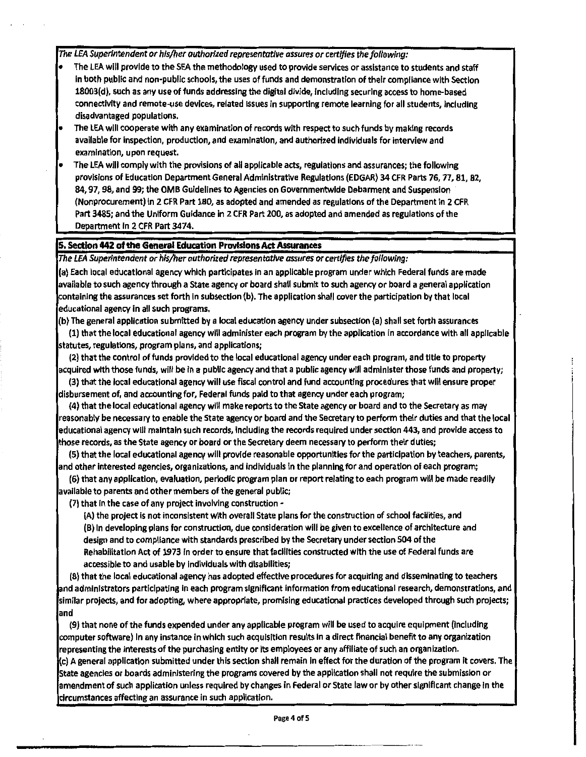The LEA Superintendent or his/her authorized representative assures or certifies the fallowing:

- The LEA will provide to the SEA the methodology used to provide services or assistance to students and staff In both public and non-publlc schools, the uses of funds and demonstration of their compliance with Section 18003(d), such as any use of funds addressing the digital divide, Including securing access to home-based connectivity and remote-use devices, related Issues In supporting remote learning for all students, Including disadvantaged populations.
- The LEA will cooperate with any examination of records with respect to such funds by making records available for inspection, production, and examination, and authorized individuals for Interview and examination, upon request.
- The LEA will comply with the provisions of all appllcable acts, regulations and assurances; the following provisions of Education Department General Administrative Regulations (EDGAR) 34 CFR Parts 76, 77, 81, 82, 84, 97, 98, and 99; the 0MB Guidelines to Agencies on Governmentwlde Debarment and Suspension (Nonprocurement) In 2 CFR Part 180, as adopted and amended as regulations of the Department In 2 CFR Part 3485; and the Uniform Guidance in 2 CFR Part 200, as adopted and amended as regulations of the Department In 2 CFR Part 3474.

#### **5. Section 442 of the General Education Provisions Act Assurances**

The LEA Superintendent or his/her authorized representative assures or cert/fies the following:

(a) Each local educational agency which participates In an applicable program under which Federal funds are made available to such agency through a State agency or board shall submit to such agency or board a general application containing the assurances set forth In subsection (b). The application shall cover the participation by that local educational agency in all such programs.

(b) The general application submitted by a local education agency under subsection (a) shall set forth assurances

{l) that the local educational agency will administer each program by the application in accordance with all applicable statutes, regulations, program plans, and applications;

(2) that the control of funds provided to the local educational agency under each program, and title to property acquired with those funds, will be In a publlc agency and that a public agency will administer those funds and property;

(3) that the local educational agency will use fiscal control and fund accounting procedures that will ensure proper disbursement of, and accounting for, Federal funds paid to that agency under each program;

(4) that the local educational agency will make reports to the State agency or board and to the Secretary as may reasonably be necessary to enable the State agency or board and the Secretary to perform their duties and that the local educational agency will maintain such records, including the records required under section 443, and provide access to those records, as the State agency or board or the Secretary deem necessary to perform their duties;

(5) that the local educational agency will provide reasonable opportunities for the participation **by** teachers, parents, and other Interested agencies, organizations, and Individuals In the planning tor and operation of each program;

(6) that any application, evaluation, periodic program plan or report relating to each program will be made readily avallable to parents and other members of the general public;

(7) that in the case of any project Involving construction •

(A) the project is not Inconsistent with overall State plans for the construction of school facilities, and

(B) In developing plans for construction, due consideration will be given to excellence of architecture and design and to compliance with standards prescribed by the Secretary under section 504 of the Rehabilitation Act of 1973 In order to ensure that facilities constructed with the use of Federal funds are accessible to and usable by individuals with disabilities;

(8) that the local educational agency has adopted effective procedures for acquiring and disseminating to teachers and administrators participating in each program significant Information from educational research, demonstrations, and similar projects, and for adopting, where appropriate, promising educational practices developed through such projects; and

(9) that none of the funds expended under any applicable program will be used to acquire equipment (Including computer software) In any Instance in which such acquisition results In a direct financial benefit to any organization representing the Interests of the purchasing entity or Its employees or any affiliate of such an organization. (c) A general application submitted under this section shall remain in effect for the duration of the program It covers. The State agencies or boards administering the programs covered by the application shall not require the submission or amendment of such application unless required by changes in Federal or State law or by other significant change in the circumstances affecting an assurance In such application.